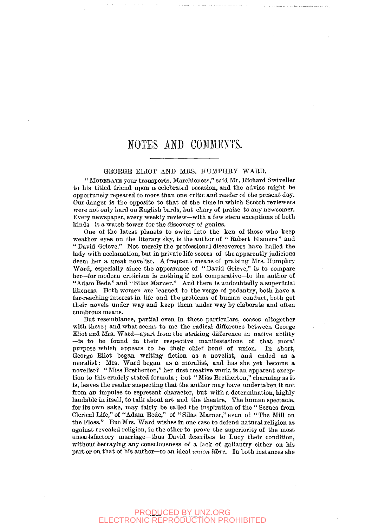# NOTES AND COMMENTS.

#### GEORGE ELIOT AND MRS. HUMPHRY WARD.

" MODERATE your transports, Marchioness," said Mr. Richard Swiveller to his titled friend upon a celebrated occasion, and the advice might be opportunely repeated to more than one critic and reader of the present day. Our danger is the opposite to that of the time in which Scotch reviewers were not only hard on English bards, but chary of praise to any newcomer. Every newspaper, every weekly review—with a few stern exceptions of both kinds—is a watch-tower for the discovery of genius.

One of the latest planets to swim into the ken of those who keep weather eyes on the literary sky, is the author of "Robert Elsmere" and " David Grieve." Not merely the professional discoverers have hailed the lady with acclamation, but in private life scores of the apparently judicious deem her a great novelist. A frequent means of praising Mrs. Humphry Ward, especially since the appearance of " David Grieve," is to compare her—for modern criticism is nothing if not comparative—to the author of "Adam Bede" and " Silas Marner." And there is undoubtedly a superficial likeness. Both women are learned to the verge of pedantry, both have a far-reaching interest in life and the problems of human conduct, both get their novels under way and keep them under way by elaborate and often cumbrous means.

But resemblance, partial even in these particulars, ceases altogether with these; and what seems to me the radical difference between George Eliot and Mrs. Ward—apart from the striking difference in native ability  $-\text{is}$  to be found in their respective manifestations of that moral purpose which appears to be their chief bond of union. In short, George Eliot began writing fiction as a novelist, and ended as a moralist: Mrs. Ward began as a moralist, and has she yet become a novelist? " Miss Bretherton," her first creative work, is an apparent exception to this crudely stated formula; but "Miss Bretherton," charming as it is, leaves the reader suspecting that the author may have undertaken it not from an impulse to represent character, but with a determination, highly laudable in itself, to talk about art and the theatre. The human spectacle, for its own sake, may fairly be called the inspiration of the " Scenes from Clerical Life," of "Adam Bede," of "Silas Marner," even of "The Mill on the Floss." But Mrs. Ward wishes in one case to defend natural religion as against revealed religion, in the other to prove the superiority of the most unsatisfactory marriage—thus David describes to Lucy their condition, without betraying any consciousness of a lack of gallantry either on his part or on that of his author--to an ideal *union libre*. In both instances she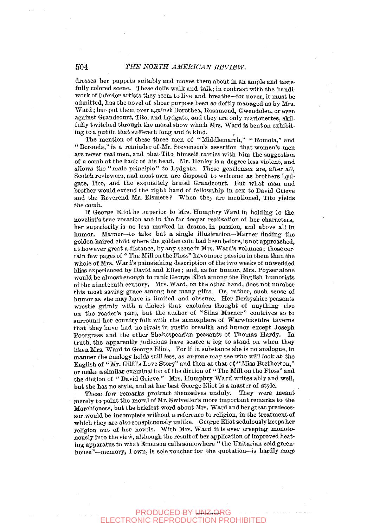dresses her puppets suitably and moves them about in an ample and tastefully colored scene. These dolls walk and talk; in contrast with the handiwork of inferior artists they seem to live and breathe—for never, it must be admitted, has the novel of sheer purpose been so deftly managed as by Mrs. Ward; but put them over against Dorothea, Rosamond, Gwendolen, or even against Grandcourt, Tito, and Lydgate, and they are only marionettes, skilfully twitched through the moral show which Mrs. Ward is benton exhibiting to a public that suffereth long and is kind.

The mention of these three men of " Middlemarch," " Romola," and "Deronda," is a reminder of Mr. Stevenson's assertion that women's men are never real men, and that Tito himself carries with him the suggestion of a comb at the back of his head. Mr. Henley is a degree less violent, and allows the "male principle" to Lydgate. These gentlemen are, after all, Scotch reviewers, and most men are disposed to welcome as brothers Lydgate, Tito, and the exquisitely brutal Grandcourt. But what man and brother would extend the right hand of fellowship in sex to David Grieve and the Reverend Mr. Elsmere? When they are mentioned, Tito yields the comb.

If George Eliot he superior to Mrs. Humphry Ward in holding to the novelist's true vocation and in the far deeper realization of her characters, her superiority is no less marked in drama, in passion, and above all in humor. Marner—to take but a single illustration—^Marner finding the goiden-haired child where the golden coin had been before, is not approached, at however great a distance, by any scene in Mrs. Ward's volumes; those certain few pages of " The Mill on the Floss" have more passion in them than the whole of Mrs. Ward's painstaking description of the two weeks of unwedded bliss experienced by David and Blise ; and, as for humor, Mrs. Poyser alone would be almost enough to rank George Eliot among the English humorists of the nineteenth century. Mrs. Ward, on the other hand, does not number this most saving grace among her many gifts. Or, rather, such sense of humor as she may have is limited and obscure. Her Derbyshire peasants wrestle grimly with a dialect that excludes thought of anything else on the reader's part, but the author of "Silas Marner" contrives so to surround her country folk with the atmosphere of Warwickshire taverns that they have had no rivals in rustic breadth and humor except Joseph Poorgrass and the other Shakespearian peasants of Thomas Hardy. In truth, the apparently judicious have scarce a leg to stand on when they liken Mrs. Ward to George Eliot. For if in substance she is no analogue, in manner the analogy holds still less, as anyone may see who will look at the English of "Mr. Gilfil's Love Story" and then at that of "Miss Bretherton," or make a similar examination of the diction of " The Mill on the Floss" and the diction of "David Grieve." Mrs. Humphry Ward writes ably and well. but she has no style, and at her best George Eliot is a master of style.

These few remarks protract themselves unduly. They were meant merely to point the moral of Mr. Swiveller's more Important remarks to the Marchioness, but the briefest word about Mrs. Ward and her great predecessor would be incomplete without a reference to religion, in the treatment of which they are also conspicuously unlike. George Eliot sedulously keeps her religion out of her novels. With Mrs. Ward it is ever creeping monotonously into the view, although the result of her application of improved heating apparatus to what Emerson calls somewhere " the Unitarian cold greenhouse"—memory, I own, is sole voucher for the quotation—is hardly more

### PRODUCED BY UNZ.ORG ELECTRONIC REPRODUCTION PROHIBITED